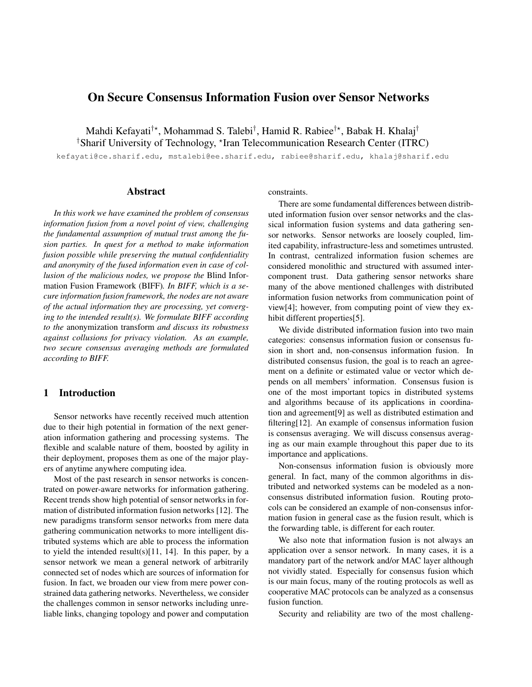# **On Secure Consensus Information Fusion over Sensor Networks**

Mahdi Kefayati<sup>†\*</sup>, Mohammad S. Talebi<sup>†</sup>, Hamid R. Rabiee<sup>†\*</sup>, Babak H. Khalaj<sup>†</sup>

†Sharif University of Technology, ? Iran Telecommunication Research Center (ITRC)

kefayati@ce.sharif.edu, mstalebi@ee.sharif.edu, rabiee@sharif.edu, khalaj@sharif.edu

## **Abstract**

*In this work we have examined the problem of consensus information fusion from a novel point of view, challenging the fundamental assumption of mutual trust among the fusion parties. In quest for a method to make information fusion possible while preserving the mutual confidentiality and anonymity of the fused information even in case of collusion of the malicious nodes, we propose the* Blind Information Fusion Framework (BIFF)*. In BIFF, which is a secure information fusion framework, the nodes are not aware of the actual information they are processing, yet converging to the intended result(s). We formulate BIFF according to the* anonymization transform *and discuss its robustness against collusions for privacy violation. As an example, two secure consensus averaging methods are formulated according to BIFF.*

## **1 Introduction**

Sensor networks have recently received much attention due to their high potential in formation of the next generation information gathering and processing systems. The flexible and scalable nature of them, boosted by agility in their deployment, proposes them as one of the major players of anytime anywhere computing idea.

Most of the past research in sensor networks is concentrated on power-aware networks for information gathering. Recent trends show high potential of sensor networks in formation of distributed information fusion networks [12]. The new paradigms transform sensor networks from mere data gathering communication networks to more intelligent distributed systems which are able to process the information to yield the intended result(s)[11, 14]. In this paper, by a sensor network we mean a general network of arbitrarily connected set of nodes which are sources of information for fusion. In fact, we broaden our view from mere power constrained data gathering networks. Nevertheless, we consider the challenges common in sensor networks including unreliable links, changing topology and power and computation constraints.

There are some fundamental differences between distributed information fusion over sensor networks and the classical information fusion systems and data gathering sensor networks. Sensor networks are loosely coupled, limited capability, infrastructure-less and sometimes untrusted. In contrast, centralized information fusion schemes are considered monolithic and structured with assumed intercomponent trust. Data gathering sensor networks share many of the above mentioned challenges with distributed information fusion networks from communication point of view[4]; however, from computing point of view they exhibit different properties[5].

We divide distributed information fusion into two main categories: consensus information fusion or consensus fusion in short and, non-consensus information fusion. In distributed consensus fusion, the goal is to reach an agreement on a definite or estimated value or vector which depends on all members' information. Consensus fusion is one of the most important topics in distributed systems and algorithms because of its applications in coordination and agreement[9] as well as distributed estimation and filtering[12]. An example of consensus information fusion is consensus averaging. We will discuss consensus averaging as our main example throughout this paper due to its importance and applications.

Non-consensus information fusion is obviously more general. In fact, many of the common algorithms in distributed and networked systems can be modeled as a nonconsensus distributed information fusion. Routing protocols can be considered an example of non-consensus information fusion in general case as the fusion result, which is the forwarding table, is different for each router.

We also note that information fusion is not always an application over a sensor network. In many cases, it is a mandatory part of the network and/or MAC layer although not vividly stated. Especially for consensus fusion which is our main focus, many of the routing protocols as well as cooperative MAC protocols can be analyzed as a consensus fusion function.

Security and reliability are two of the most challeng-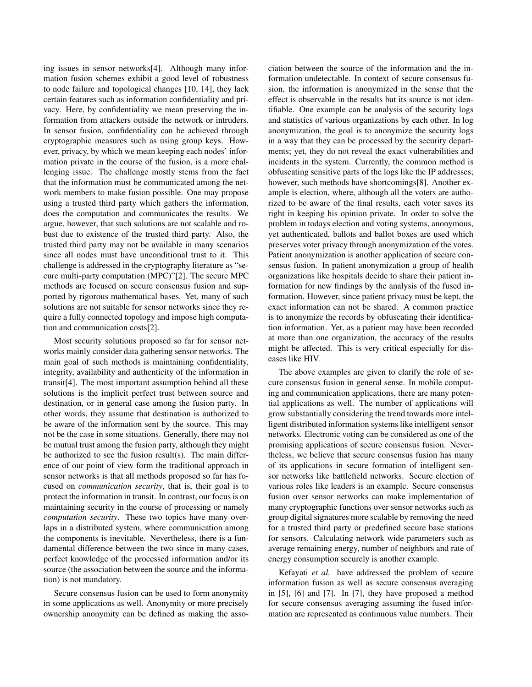ing issues in sensor networks[4]. Although many information fusion schemes exhibit a good level of robustness to node failure and topological changes [10, 14], they lack certain features such as information confidentiality and privacy. Here, by confidentiality we mean preserving the information from attackers outside the network or intruders. In sensor fusion, confidentiality can be achieved through cryptographic measures such as using group keys. However, privacy, by which we mean keeping each nodes' information private in the course of the fusion, is a more challenging issue. The challenge mostly stems from the fact that the information must be communicated among the network members to make fusion possible. One may propose using a trusted third party which gathers the information, does the computation and communicates the results. We argue, however, that such solutions are not scalable and robust due to existence of the trusted third party. Also, the trusted third party may not be available in many scenarios since all nodes must have unconditional trust to it. This challenge is addressed in the cryptography literature as "secure multi-party computation (MPC)"[2]. The secure MPC methods are focused on secure consensus fusion and supported by rigorous mathematical bases. Yet, many of such solutions are not suitable for sensor networks since they require a fully connected topology and impose high computation and communication costs[2].

Most security solutions proposed so far for sensor networks mainly consider data gathering sensor networks. The main goal of such methods is maintaining confidentiality, integrity, availability and authenticity of the information in transit[4]. The most important assumption behind all these solutions is the implicit perfect trust between source and destination, or in general case among the fusion party. In other words, they assume that destination is authorized to be aware of the information sent by the source. This may not be the case in some situations. Generally, there may not be mutual trust among the fusion party, although they might be authorized to see the fusion result(s). The main difference of our point of view form the traditional approach in sensor networks is that all methods proposed so far has focused on *communication security*, that is, their goal is to protect the information in transit. In contrast, our focus is on maintaining security in the course of processing or namely *computation security*. These two topics have many overlaps in a distributed system, where communication among the components is inevitable. Nevertheless, there is a fundamental difference between the two since in many cases, perfect knowledge of the processed information and/or its source (the association between the source and the information) is not mandatory.

Secure consensus fusion can be used to form anonymity in some applications as well. Anonymity or more precisely ownership anonymity can be defined as making the association between the source of the information and the information undetectable. In context of secure consensus fusion, the information is anonymized in the sense that the effect is observable in the results but its source is not identifiable. One example can be analysis of the security logs and statistics of various organizations by each other. In log anonymization, the goal is to anonymize the security logs in a way that they can be processed by the security departments; yet, they do not reveal the exact vulnerabilities and incidents in the system. Currently, the common method is obfuscating sensitive parts of the logs like the IP addresses; however, such methods have shortcomings[8]. Another example is election, where, although all the voters are authorized to be aware of the final results, each voter saves its right in keeping his opinion private. In order to solve the problem in todays election and voting systems, anonymous, yet authenticated, ballots and ballot boxes are used which preserves voter privacy through anonymization of the votes. Patient anonymization is another application of secure consensus fusion. In patient anonymization a group of health organizations like hospitals decide to share their patient information for new findings by the analysis of the fused information. However, since patient privacy must be kept, the exact information can not be shared. A common practice is to anonymize the records by obfuscating their identification information. Yet, as a patient may have been recorded at more than one organization, the accuracy of the results might be affected. This is very critical especially for diseases like HIV.

The above examples are given to clarify the role of secure consensus fusion in general sense. In mobile computing and communication applications, there are many potential applications as well. The number of applications will grow substantially considering the trend towards more intelligent distributed information systems like intelligent sensor networks. Electronic voting can be considered as one of the promising applications of secure consensus fusion. Nevertheless, we believe that secure consensus fusion has many of its applications in secure formation of intelligent sensor networks like battlefield networks. Secure election of various roles like leaders is an example. Secure consensus fusion over sensor networks can make implementation of many cryptographic functions over sensor networks such as group digital signatures more scalable by removing the need for a trusted third party or predefined secure base stations for sensors. Calculating network wide parameters such as average remaining energy, number of neighbors and rate of energy consumption securely is another example.

Kefayati *et al.* have addressed the problem of secure information fusion as well as secure consensus averaging in [5], [6] and [7]. In [7], they have proposed a method for secure consensus averaging assuming the fused information are represented as continuous value numbers. Their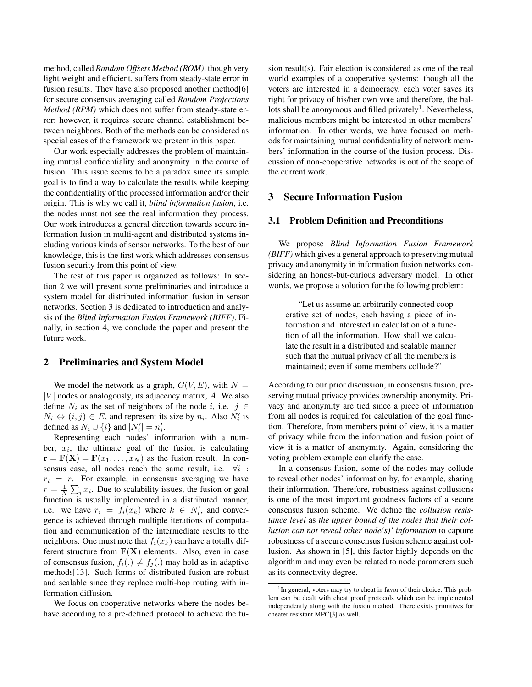method, called *Random Offsets Method (ROM)*, though very light weight and efficient, suffers from steady-state error in fusion results. They have also proposed another method [6] for secure consensus averaging called *Random Projections Method (RPM)* which does not suffer from steady-state error; however, it requires secure channel establishment between neighbors. Both of the methods can be considered as special cases of the framework we present in this paper.

Our work especially addresses the problem of maintaining mutual confidentiality and anonymity in the course of fusion. This issue seems to be a paradox since its simple goal is to find a way to calculate the results while keeping the confidentiality of the processed information and/or their origin. This is why we call it, *blind information fusion*, i.e. the nodes must not see the real information they process. Our work introduces a general direction towards secure information fusion in multi-agent and distributed systems including various kinds of sensor networks. To the best of our knowledge, this is the first work which addresses consensus fusion security from this point of view.

The rest of this paper is organized as follows: In section 2 we will present some preliminaries and introduce a system model for distributed information fusion in sensor networks. Section 3 is dedicated to introduction and analysis of the *Blind Information Fusion Framework (BIFF)*. Finally, in section 4, we conclude the paper and present the future work.

#### **2 Preliminaries and System Model**

We model the network as a graph,  $G(V, E)$ , with  $N =$  $|V|$  nodes or analogously, its adjacency matrix, A. We also define  $N_i$  as the set of neighbors of the node i, i.e. j ∈  $N_i \Leftrightarrow (i, j) \in E$ , and represent its size by  $n_i$ . Also  $N'_i$  is defined as  $N_i \cup \{i\}$  and  $|N'_i| = n'_i$ .

Representing each nodes' information with a number,  $x_i$ , the ultimate goal of the fusion is calculating  $\mathbf{r} = \mathbf{F}(\mathbf{X}) = \mathbf{F}(x_1, \dots, x_N)$  as the fusion result. In consensus case, all nodes reach the same result, i.e.  $\forall i$  :  $r_i = r$ . For example, in consensus averaging we have  $r = \frac{1}{N} \sum_i x_i$ . Due to scalability issues, the fusion or goal function is usually implemented in a distributed manner, i.e. we have  $r_i = f_i(x_k)$  where  $k \in N'_i$ , and convergence is achieved through multiple iterations of computation and communication of the intermediate results to the neighbors. One must note that  $f_i(x_k)$  can have a totally different structure from  $F(X)$  elements. Also, even in case of consensus fusion,  $f_i(.) \neq f_j(.)$  may hold as in adaptive methods[13]. Such forms of distributed fusion are robust and scalable since they replace multi-hop routing with information diffusion.

We focus on cooperative networks where the nodes behave according to a pre-defined protocol to achieve the fusion result(s). Fair election is considered as one of the real world examples of a cooperative systems: though all the voters are interested in a democracy, each voter saves its right for privacy of his/her own vote and therefore, the ballots shall be anonymous and filled privately<sup>1</sup>. Nevertheless, malicious members might be interested in other members' information. In other words, we have focused on methods for maintaining mutual confidentiality of network members' information in the course of the fusion process. Discussion of non-cooperative networks is out of the scope of the current work.

### **3 Secure Information Fusion**

#### **3.1 Problem Definition and Preconditions**

We propose *Blind Information Fusion Framework (BIFF)* which gives a general approach to preserving mutual privacy and anonymity in information fusion networks considering an honest-but-curious adversary model. In other words, we propose a solution for the following problem:

"Let us assume an arbitrarily connected cooperative set of nodes, each having a piece of information and interested in calculation of a function of all the information. How shall we calculate the result in a distributed and scalable manner such that the mutual privacy of all the members is maintained; even if some members collude?"

According to our prior discussion, in consensus fusion, preserving mutual privacy provides ownership anonymity. Privacy and anonymity are tied since a piece of information from all nodes is required for calculation of the goal function. Therefore, from members point of view, it is a matter of privacy while from the information and fusion point of view it is a matter of anonymity. Again, considering the voting problem example can clarify the case.

In a consensus fusion, some of the nodes may collude to reveal other nodes' information by, for example, sharing their information. Therefore, robustness against collusions is one of the most important goodness factors of a secure consensus fusion scheme. We define the *collusion resistance level* as *the upper bound of the nodes that their collusion can not reveal other node(s)' information* to capture robustness of a secure consensus fusion scheme against collusion. As shown in [5], this factor highly depends on the algorithm and may even be related to node parameters such as its connectivity degree.

<sup>&</sup>lt;sup>1</sup>In general, voters may try to cheat in favor of their choice. This problem can be dealt with cheat proof protocols which can be implemented independently along with the fusion method. There exists primitives for cheater resistant MPC[3] as well.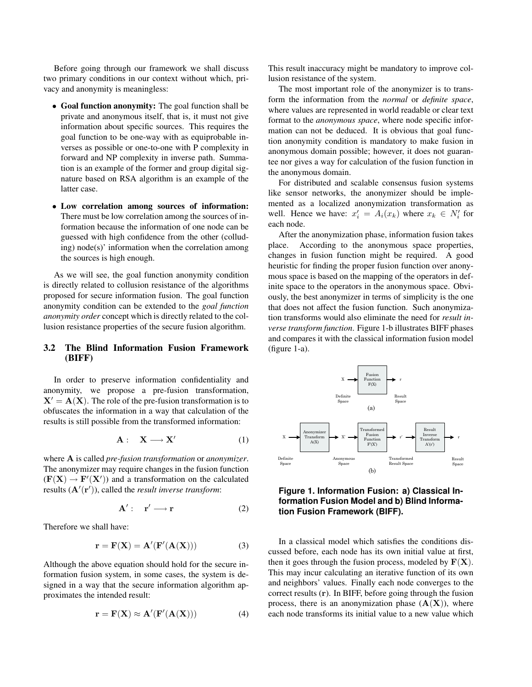Before going through our framework we shall discuss two primary conditions in our context without which, privacy and anonymity is meaningless:

- **Goal function anonymity:** The goal function shall be private and anonymous itself, that is, it must not give information about specific sources. This requires the goal function to be one-way with as equiprobable inverses as possible or one-to-one with P complexity in forward and NP complexity in inverse path. Summation is an example of the former and group digital signature based on RSA algorithm is an example of the latter case.
- **Low correlation among sources of information:** There must be low correlation among the sources of information because the information of one node can be guessed with high confidence from the other (colluding) node(s)' information when the correlation among the sources is high enough.

As we will see, the goal function anonymity condition is directly related to collusion resistance of the algorithms proposed for secure information fusion. The goal function anonymity condition can be extended to the *goal function anonymity order* concept which is directly related to the collusion resistance properties of the secure fusion algorithm.

## **3.2 The Blind Information Fusion Framework (BIFF)**

In order to preserve information confidentiality and anonymity, we propose a pre-fusion transformation,  $X' = A(X)$ . The role of the pre-fusion transformation is to obfuscates the information in a way that calculation of the results is still possible from the transformed information:

$$
A: \quad X \longrightarrow X' \tag{1}
$$

where A is called *pre-fusion transformation* or *anonymizer*. The anonymizer may require changes in the fusion function  $(F(X) \rightarrow F'(X'))$  and a transformation on the calculated results  $(A'(r'))$ , called the *result inverse transform*:

$$
A': \quad r' \longrightarrow r \tag{2}
$$

Therefore we shall have:

$$
\mathbf{r} = \mathbf{F}(\mathbf{X}) = \mathbf{A}'(\mathbf{F}'(\mathbf{A}(\mathbf{X})))
$$
 (3)

Although the above equation should hold for the secure information fusion system, in some cases, the system is designed in a way that the secure information algorithm approximates the intended result:

$$
\mathbf{r} = \mathbf{F}(\mathbf{X}) \approx \mathbf{A}'(\mathbf{F}'(\mathbf{A}(\mathbf{X})))
$$
 (4)

This result inaccuracy might be mandatory to improve collusion resistance of the system.

The most important role of the anonymizer is to transform the information from the *normal* or *definite space*, where values are represented in world readable or clear text format to the *anonymous space*, where node specific information can not be deduced. It is obvious that goal function anonymity condition is mandatory to make fusion in anonymous domain possible; however, it does not guarantee nor gives a way for calculation of the fusion function in the anonymous domain.

For distributed and scalable consensus fusion systems like sensor networks, the anonymizer should be implemented as a localized anonymization transformation as well. Hence we have:  $x'_i = A_i(x_k)$  where  $x_k \in N'_i$  for each node.

After the anonymization phase, information fusion takes place. According to the anonymous space properties, changes in fusion function might be required. A good heuristic for finding the proper fusion function over anonymous space is based on the mapping of the operators in definite space to the operators in the anonymous space. Obviously, the best anonymizer in terms of simplicity is the one that does not affect the fusion function. Such anonymization transforms would also eliminate the need for *result inverse transform function*. Figure 1-b illustrates BIFF phases and compares it with the classical information fusion model (figure 1-a).



**Figure 1. Information Fusion: a) Classical Information Fusion Model and b) Blind Information Fusion Framework (BIFF).**

In a classical model which satisfies the conditions discussed before, each node has its own initial value at first, then it goes through the fusion process, modeled by  $F(X)$ . This may incur calculating an iterative function of its own and neighbors' values. Finally each node converges to the correct results (r). In BIFF, before going through the fusion process, there is an anonymization phase  $(A(X))$ , where each node transforms its initial value to a new value which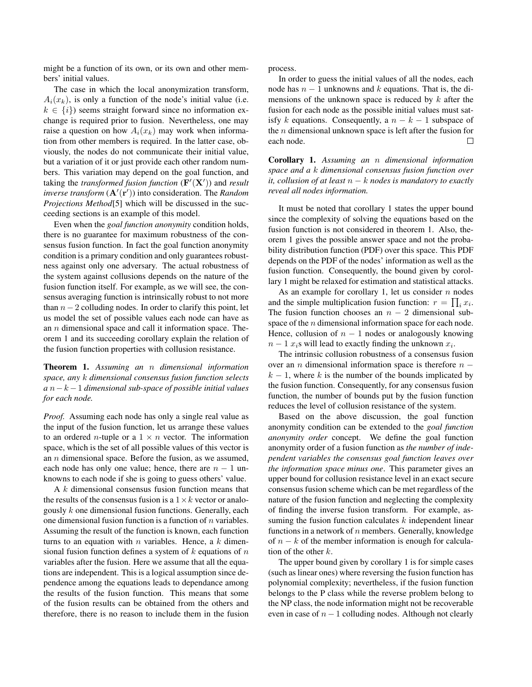might be a function of its own, or its own and other members' initial values.

The case in which the local anonymization transform,  $A_i(x_k)$ , is only a function of the node's initial value (i.e.  $k \in \{i\}$  seems straight forward since no information exchange is required prior to fusion. Nevertheless, one may raise a question on how  $A_i(x_k)$  may work when information from other members is required. In the latter case, obviously, the nodes do not communicate their initial value, but a variation of it or just provide each other random numbers. This variation may depend on the goal function, and taking the *transformed fusion function*  $(F'(X'))$  and *result*  $inverse$  transform  $(A'(r'))$  into consideration. The *Random Projections Method*[5] which will be discussed in the succeeding sections is an example of this model.

Even when the *goal function anonymity* condition holds, there is no guarantee for maximum robustness of the consensus fusion function. In fact the goal function anonymity condition is a primary condition and only guarantees robustness against only one adversary. The actual robustness of the system against collusions depends on the nature of the fusion function itself. For example, as we will see, the consensus averaging function is intrinsically robust to not more than  $n-2$  colluding nodes. In order to clarify this point, let us model the set of possible values each node can have as an  $n$  dimensional space and call it information space. Theorem 1 and its succeeding corollary explain the relation of the fusion function properties with collusion resistance.

**Theorem 1.** *Assuming an* n *dimensional information space, any* k *dimensional consensus fusion function selects a* n−k −1 *dimensional sub-space of possible initial values for each node.*

*Proof.* Assuming each node has only a single real value as the input of the fusion function, let us arrange these values to an ordered *n*-tuple or a  $1 \times n$  vector. The information space, which is the set of all possible values of this vector is an n dimensional space. Before the fusion, as we assumed, each node has only one value; hence, there are  $n - 1$  unknowns to each node if she is going to guess others' value.

A k dimensional consensus fusion function means that the results of the consensus fusion is a  $1 \times k$  vector or analogously k one dimensional fusion functions. Generally, each one dimensional fusion function is a function of  $n$  variables. Assuming the result of the function is known, each function turns to an equation with n variables. Hence, a  $k$  dimensional fusion function defines a system of  $k$  equations of  $n$ variables after the fusion. Here we assume that all the equations are independent. This is a logical assumption since dependence among the equations leads to dependance among the results of the fusion function. This means that some of the fusion results can be obtained from the others and therefore, there is no reason to include them in the fusion

process.

In order to guess the initial values of all the nodes, each node has  $n - 1$  unknowns and k equations. That is, the dimensions of the unknown space is reduced by  $k$  after the fusion for each node as the possible initial values must satisfy k equations. Consequently, a  $n - k - 1$  subspace of the  $n$  dimensional unknown space is left after the fusion for each node. □

**Corollary 1.** *Assuming an* n *dimensional information space and a* k *dimensional consensus fusion function over it, collusion of at least* n − k *nodes is mandatory to exactly reveal all nodes information.*

It must be noted that corollary 1 states the upper bound since the complexity of solving the equations based on the fusion function is not considered in theorem 1. Also, theorem 1 gives the possible answer space and not the probability distribution function (PDF) over this space. This PDF depends on the PDF of the nodes' information as well as the fusion function. Consequently, the bound given by corollary 1 might be relaxed for estimation and statistical attacks.

As an example for corollary 1, let us consider  $n$  nodes and the simple multiplication fusion function:  $r = \prod_i x_i$ . The fusion function chooses an  $n - 2$  dimensional subspace of the  $n$  dimensional information space for each node. Hence, collusion of  $n - 1$  nodes or analogously knowing  $n-1$   $x_i$ s will lead to exactly finding the unknown  $x_i$ .

The intrinsic collusion robustness of a consensus fusion over an *n* dimensional information space is therefore  $n$  $k-1$ , where k is the number of the bounds implicated by the fusion function. Consequently, for any consensus fusion function, the number of bounds put by the fusion function reduces the level of collusion resistance of the system.

Based on the above discussion, the goal function anonymity condition can be extended to the *goal function anonymity order* concept. We define the goal function anonymity order of a fusion function as *the number of independent variables the consensus goal function leaves over the information space minus one*. This parameter gives an upper bound for collusion resistance level in an exact secure consensus fusion scheme which can be met regardless of the nature of the fusion function and neglecting the complexity of finding the inverse fusion transform. For example, assuming the fusion function calculates  $k$  independent linear functions in a network of  $n$  members. Generally, knowledge of  $n - k$  of the member information is enough for calculation of the other  $k$ .

The upper bound given by corollary 1 is for simple cases (such as linear ones) where reversing the fusion function has polynomial complexity; nevertheless, if the fusion function belongs to the P class while the reverse problem belong to the NP class, the node information might not be recoverable even in case of  $n - 1$  colluding nodes. Although not clearly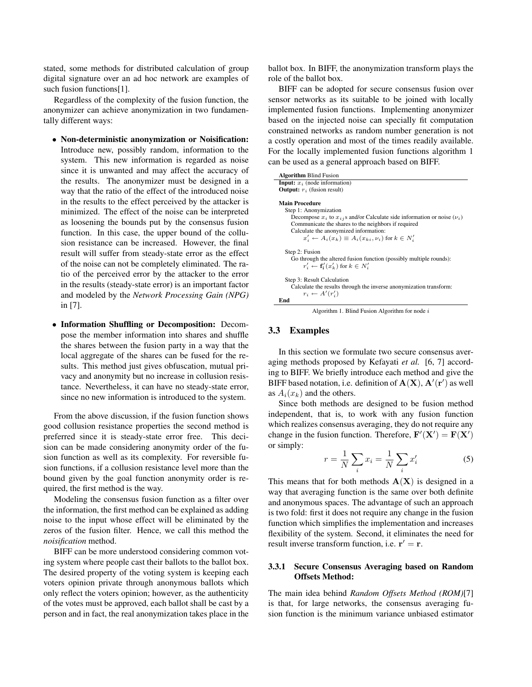stated, some methods for distributed calculation of group digital signature over an ad hoc network are examples of such fusion functions[1].

Regardless of the complexity of the fusion function, the anonymizer can achieve anonymization in two fundamentally different ways:

- **Non-deterministic anonymization or Noisification:** Introduce new, possibly random, information to the system. This new information is regarded as noise since it is unwanted and may affect the accuracy of the results. The anonymizer must be designed in a way that the ratio of the effect of the introduced noise in the results to the effect perceived by the attacker is minimized. The effect of the noise can be interpreted as loosening the bounds put by the consensus fusion function. In this case, the upper bound of the collusion resistance can be increased. However, the final result will suffer from steady-state error as the effect of the noise can not be completely eliminated. The ratio of the perceived error by the attacker to the error in the results (steady-state error) is an important factor and modeled by the *Network Processing Gain (NPG)* in [7].
- **Information Shuffling or Decomposition:** Decompose the member information into shares and shuffle the shares between the fusion party in a way that the local aggregate of the shares can be fused for the results. This method just gives obfuscation, mutual privacy and anonymity but no increase in collusion resistance. Nevertheless, it can have no steady-state error, since no new information is introduced to the system.

From the above discussion, if the fusion function shows good collusion resistance properties the second method is preferred since it is steady-state error free. This decision can be made considering anonymity order of the fusion function as well as its complexity. For reversible fusion functions, if a collusion resistance level more than the bound given by the goal function anonymity order is required, the first method is the way.

Modeling the consensus fusion function as a filter over the information, the first method can be explained as adding noise to the input whose effect will be eliminated by the zeros of the fusion filter. Hence, we call this method the *noisification* method.

BIFF can be more understood considering common voting system where people cast their ballots to the ballot box. The desired property of the voting system is keeping each voters opinion private through anonymous ballots which only reflect the voters opinion; however, as the authenticity of the votes must be approved, each ballot shall be cast by a person and in fact, the real anonymization takes place in the ballot box. In BIFF, the anonymization transform plays the role of the ballot box.

BIFF can be adopted for secure consensus fusion over sensor networks as its suitable to be joined with locally implemented fusion functions. Implementing anonymizer based on the injected noise can specially fit computation constrained networks as random number generation is not a costly operation and most of the times readily available. For the locally implemented fusion functions algorithm 1 can be used as a general approach based on BIFF.

| <b>Algorithm Blind Fusion</b>                                                                                                        |
|--------------------------------------------------------------------------------------------------------------------------------------|
| <b>Input:</b> $x_i$ (node information)                                                                                               |
| <b>Output:</b> $r_i$ (fusion result)                                                                                                 |
| <b>Main Procedure</b><br>Step 1: Anonymization<br>Decompose $x_i$ to $x_{ij}$ s and/or Calculate side information or noise $(\nu_i)$ |
| Communicate the shares to the neighbors if required                                                                                  |
| Calculate the anonymized information:                                                                                                |
| $x'_i \leftarrow A_i(x_k) \equiv A_i(x_{ki}, \nu_i)$ for $k \in N'_i$                                                                |
| Step 2: Fusion                                                                                                                       |
| Go through the altered fusion function (possibly multiple rounds):<br>$r'_{i} \leftarrow f'_{i}(x'_{k})$ for $k \in N'_{i}$          |
| Step 3: Result Calculation                                                                                                           |
| Calculate the results through the inverse anonymization transform:<br>$r_i \leftarrow A'(r'_i)$                                      |
| End                                                                                                                                  |

Algorithm 1. Blind Fusion Algorithm for node i

#### **3.3 Examples**

In this section we formulate two secure consensus averaging methods proposed by Kefayati *et al.* [6, 7] according to BIFF. We briefly introduce each method and give the BIFF based notation, i.e. definition of  $\mathbf{A}(\mathbf{X})$ ,  $\mathbf{A}'(\mathbf{r}')$  as well as  $A_i(x_k)$  and the others.

Since both methods are designed to be fusion method independent, that is, to work with any fusion function which realizes consensus averaging, they do not require any change in the fusion function. Therefore,  $\mathbf{F}'(\mathbf{X}') = \mathbf{F}(\mathbf{X}')$ or simply:

$$
r = \frac{1}{N} \sum_{i} x_i = \frac{1}{N} \sum_{i} x'_i
$$
 (5)

This means that for both methods  $A(X)$  is designed in a way that averaging function is the same over both definite and anonymous spaces. The advantage of such an approach is two fold: first it does not require any change in the fusion function which simplifies the implementation and increases flexibility of the system. Second, it eliminates the need for result inverse transform function, i.e.  $\mathbf{r}' = \mathbf{r}$ .

#### **3.3.1 Secure Consensus Averaging based on Random Offsets Method:**

The main idea behind *Random Offsets Method (ROM)*[7] is that, for large networks, the consensus averaging fusion function is the minimum variance unbiased estimator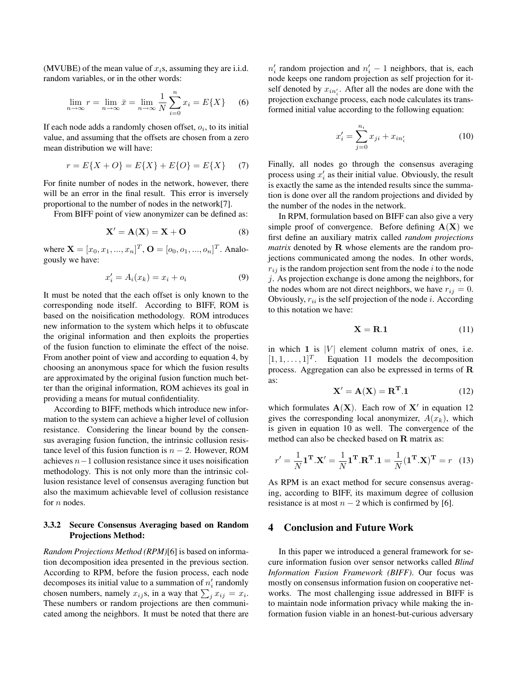(MVUBE) of the mean value of  $x_i$ s, assuming they are i.i.d. random variables, or in the other words:

$$
\lim_{n \to \infty} r = \lim_{n \to \infty} \bar{x} = \lim_{n \to \infty} \frac{1}{N} \sum_{i=0}^{n} x_i = E\{X\} \tag{6}
$$

If each node adds a randomly chosen offset,  $o_i$ , to its initial value, and assuming that the offsets are chosen from a zero mean distribution we will have:

$$
r = E\{X + O\} = E\{X\} + E\{O\} = E\{X\} \tag{7}
$$

For finite number of nodes in the network, however, there will be an error in the final result. This error is inversely proportional to the number of nodes in the network[7].

From BIFF point of view anonymizer can be defined as:

$$
\mathbf{X}' = \mathbf{A}(\mathbf{X}) = \mathbf{X} + \mathbf{O}
$$
 (8)

where  $\mathbf{X} = [x_0, x_1, ..., x_n]^T$ ,  $\mathbf{O} = [o_0, o_1, ..., o_n]^T$ . Analogously we have:

$$
x_i' = A_i(x_k) = x_i + o_i \tag{9}
$$

It must be noted that the each offset is only known to the corresponding node itself. According to BIFF, ROM is based on the noisification methodology. ROM introduces new information to the system which helps it to obfuscate the original information and then exploits the properties of the fusion function to eliminate the effect of the noise. From another point of view and according to equation 4, by choosing an anonymous space for which the fusion results are approximated by the original fusion function much better than the original information, ROM achieves its goal in providing a means for mutual confidentiality.

According to BIFF, methods which introduce new information to the system can achieve a higher level of collusion resistance. Considering the linear bound by the consensus averaging fusion function, the intrinsic collusion resistance level of this fusion function is  $n - 2$ . However, ROM achieves  $n-1$  collusion resistance since it uses noisification methodology. This is not only more than the intrinsic collusion resistance level of consensus averaging function but also the maximum achievable level of collusion resistance for  $n$  nodes.

#### **3.3.2 Secure Consensus Averaging based on Random Projections Method:**

*Random Projections Method (RPM)*[6] is based on information decomposition idea presented in the previous section. According to RPM, before the fusion process, each node decomposes its initial value to a summation of  $n'_i$  randomly chosen numbers, namely  $x_{ij}$ s, in a way that  $\sum_j x_{ij} = x_i$ . These numbers or random projections are then communicated among the neighbors. It must be noted that there are

 $n'_i$  random projection and  $n'_i - 1$  neighbors, that is, each node keeps one random projection as self projection for itself denoted by  $x_{in'_i}$ . After all the nodes are done with the projection exchange process, each node calculates its transformed initial value according to the following equation:

$$
x_i' = \sum_{j=0}^{n_i} x_{ji} + x_{in'_i}
$$
 (10)

Finally, all nodes go through the consensus averaging process using  $x_i'$  as their initial value. Obviously, the result is exactly the same as the intended results since the summation is done over all the random projections and divided by the number of the nodes in the network.

In RPM, formulation based on BIFF can also give a very simple proof of convergence. Before defining  $A(X)$  we first define an auxiliary matrix called *random projections matrix* denoted by R whose elements are the random projections communicated among the nodes. In other words,  $r_{ij}$  is the random projection sent from the node i to the node  $j$ . As projection exchange is done among the neighbors, for the nodes whom are not direct neighbors, we have  $r_{ij} = 0$ . Obviously,  $r_{ii}$  is the self projection of the node i. According to this notation we have:

$$
\mathbf{X} = \mathbf{R} \cdot \mathbf{1} \tag{11}
$$

in which 1 is  $|V|$  element column matrix of ones, i.e.  $[1, 1, \ldots, 1]^T$ . Equation 11 models the decomposition process. Aggregation can also be expressed in terms of R as:

$$
\mathbf{X}' = \mathbf{A}(\mathbf{X}) = \mathbf{R}^{\mathbf{T}} \cdot \mathbf{1}
$$
 (12)

which formulates  $A(X)$ . Each row of  $X'$  in equation 12 gives the corresponding local anonymizer,  $A(x_k)$ , which is given in equation 10 as well. The convergence of the method can also be checked based on R matrix as:

$$
r' = \frac{1}{N} \mathbf{1}^{\mathbf{T}} \cdot \mathbf{X}' = \frac{1}{N} \mathbf{1}^{\mathbf{T}} \cdot \mathbf{R}^{\mathbf{T}} \cdot \mathbf{1} = \frac{1}{N} (\mathbf{1}^{\mathbf{T}} \cdot \mathbf{X})^{\mathbf{T}} = r \quad (13)
$$

As RPM is an exact method for secure consensus averaging, according to BIFF, its maximum degree of collusion resistance is at most  $n - 2$  which is confirmed by [6].

#### **4 Conclusion and Future Work**

In this paper we introduced a general framework for secure information fusion over sensor networks called *Blind Information Fusion Framework (BIFF)*. Our focus was mostly on consensus information fusion on cooperative networks. The most challenging issue addressed in BIFF is to maintain node information privacy while making the information fusion viable in an honest-but-curious adversary